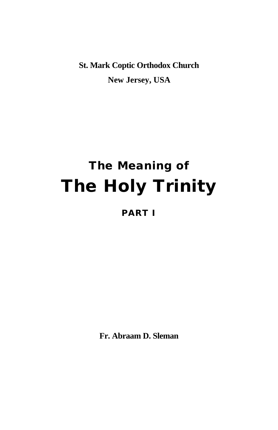**St. Mark Coptic Orthodox Church New Jersey, USA**

# **The Meaning of The Holy Trinity**

#### **PART I**

**Fr. Abraam D. Sleman**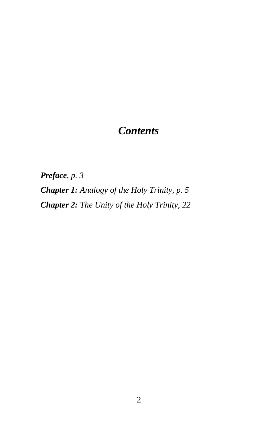## *Contents*

*Preface, p. 3*

*Chapter 1: Analogy of the Holy Trinity, p. 5 Chapter 2: The Unity of the Holy Trinity, 22*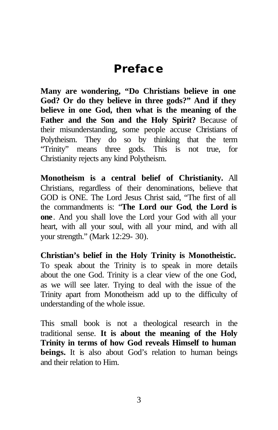## **Preface**

**Many are wondering, "Do Christians believe in one God? Or do they believe in three gods?" And if they believe in one God, then what is the meaning of the Father and the Son and the Holy Spirit?** Because of their misunderstanding, some people accuse Christians of Polytheism. They do so by thinking that the term "Trinity" means three gods. This is not true, for Christianity rejects any kind Polytheism.

**Monotheism is a central belief of Christianity.** All Christians, regardless of their denominations, believe that GOD is ONE. The Lord Jesus Christ said, "The first of all the commandments is: "**The Lord our God**, **the Lord is one**. And you shall love the Lord your God with all your heart, with all your soul, with all your mind, and with all your strength." (Mark 12:29- 30).

**Christian's belief in the Holy Trinity is Monotheistic.**  To speak about the Trinity is to speak in more details about the one God. Trinity is a clear view of the one God, as we will see later. Trying to deal with the issue of the Trinity apart from Monotheism add up to the difficulty of understanding of the whole issue.

This small book is not a theological research in the traditional sense. **It is about the meaning of the Holy Trinity in terms of how God reveals Himself to human beings.** It is also about God's relation to human beings and their relation to Him.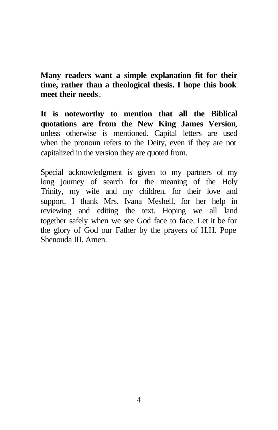**Many readers want a simple explanation fit for their time, rather than a theological thesis. I hope this book meet their needs**.

**It is noteworthy to mention that all the Biblical quotations are from the New King James Version**, unless otherwise is mentioned. Capital letters are used when the pronoun refers to the Deity, even if they are not capitalized in the version they are quoted from.

Special acknowledgment is given to my partners of my long journey of search for the meaning of the Holy Trinity, my wife and my children, for their love and support. I thank Mrs. Ivana Meshell, for her help in reviewing and editing the text. Hoping we all land together safely when we see God face to face. Let it be for the glory of God our Father by the prayers of H.H. Pope Shenouda III. Amen.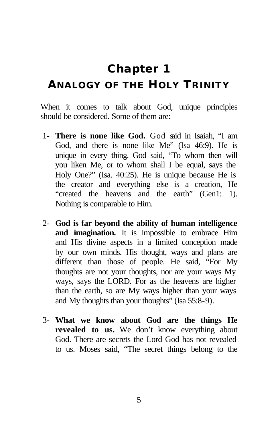## **Chapter 1**

#### **ANALOGY OF THE HOLY TRINITY**

When it comes to talk about God, unique principles should be considered. Some of them are:

- 1- **There is none like God.** God said in Isaiah, "I am God, and there is none like Me" (Isa 46:9). He is unique in every thing. God said, "To whom then will you liken Me, or to whom shall I be equal, says the Holy One?" (Isa. 40:25). He is unique because He is the creator and everything else is a creation, He "created the heavens and the earth" (Gen1: 1). Nothing is comparable to Him.
- 2- **God is far beyond the ability of human intelligence and imagination.** It is impossible to embrace Him and His divine aspects in a limited conception made by our own minds. His thought, ways and plans are different than those of people. He said, "For My thoughts are not your thoughts, nor are your ways My ways, says the LORD. For as the heavens are higher than the earth, so are My ways higher than your ways and My thoughts than your thoughts" (Isa 55:8-9).
- 3- **What we know about God are the things He revealed to us.** We don't know everything about God. There are secrets the Lord God has not revealed to us. Moses said, "The secret things belong to the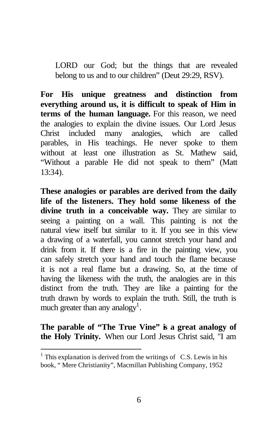LORD our God; but the things that are revealed belong to us and to our children" (Deut 29:29, RSV).

**For His unique greatness and distinction from everything around us, it is difficult to speak of Him in terms of the human language.** For this reason, we need the analogies to explain the divine issues. Our Lord Jesus Christ included many analogies, which are called parables, in His teachings. He never spoke to them without at least one illustration as St. Mathew said, "Without a parable He did not speak to them" (Matt 13:34).

**These analogies or parables are derived from the daily life of the listeners. They hold some likeness of the divine truth in a conceivable way.** They are similar to seeing a painting on a wall. This painting is not the natural view itself but similar to it. If you see in this view a drawing of a waterfall, you cannot stretch your hand and drink from it. If there is a fire in the painting view, you can safely stretch your hand and touch the flame because it is not a real flame but a drawing. So, at the time of having the likeness with the truth, the analogies are in this distinct from the truth. They are like a painting for the truth drawn by words to explain the truth. Still, the truth is much greater than any analogy<sup>1</sup>.

**The parable of "The True Vine" is a great analogy of the Holy Trinity.** When our Lord Jesus Christ said, "I am

 $\overline{a}$ 

 $<sup>1</sup>$  This explanation is derived from the writings of C.S. Lewis in his</sup> book, " Mere Christianity", Macmillan Publishing Company, 1952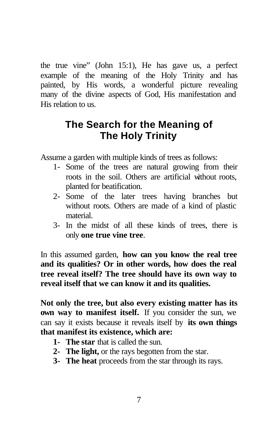the true vine" (John 15:1), He has gave us, a perfect example of the meaning of the Holy Trinity and has painted, by His words, a wonderful picture revealing many of the divine aspects of God, His manifestation and His relation to us.

#### **The Search for the Meaning of The Holy Trinity**

Assume a garden with multiple kinds of trees as follows:

- 1- Some of the trees are natural growing from their roots in the soil. Others are artificial without roots, planted for beatification.
- 2- Some of the later trees having branches but without roots. Others are made of a kind of plastic material.
- 3- In the midst of all these kinds of trees, there is only **one true vine tree**.

In this assumed garden, **how can you know the real tree and its qualities? Or in other words, how does the real tree reveal itself? The tree should have its own way to reveal itself that we can know it and its qualities.**

**Not only the tree, but also every existing matter has its own way to manifest itself.** If you consider the sun, we can say it exists because it reveals itself by **its own things that manifest its existence, which are:**

- **1- The star** that is called the sun.
- **2- The light,** or the rays begotten from the star.
- **3- The heat** proceeds from the star through its rays.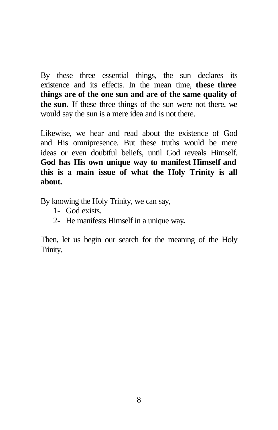By these three essential things, the sun declares its existence and its effects. In the mean time, **these three things are of the one sun and are of the same quality of the sun.** If these three things of the sun were not there, we would say the sun is a mere idea and is not there.

Likewise, we hear and read about the existence of God and His omnipresence. But these truths would be mere ideas or even doubtful beliefs, until God reveals Himself. **God has His own unique way to manifest Himself and this is a main issue of what the Holy Trinity is all about.**

By knowing the Holy Trinity, we can say,

- 1- God exists.
- 2- He manifests Himself in a unique way**.**

Then, let us begin our search for the meaning of the Holy Trinity.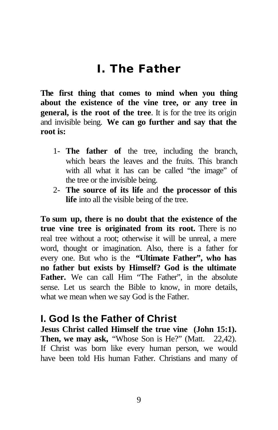## **I. The Father**

**The first thing that comes to mind when you thing about the existence of the vine tree, or any tree in general, is the root of the tree**. It is for the tree its origin and invisible being. **We can go further and say that the root is:**

- 1- **The father of** the tree, including the branch, which bears the leaves and the fruits. This branch with all what it has can be called "the image" of the tree or the invisible being.
- 2- **The source of its life** and **the processor of this life** into all the visible being of the tree.

**To sum up, there is no doubt that the existence of the true vine tree is originated from its root.** There is no real tree without a root; otherwise it will be unreal, a mere word, thought or imagination. Also, there is a father for every one. But who is the **"Ultimate Father", who has no father but exists by Himself? God is the ultimate**  Father. We can call Him "The Father", in the absolute sense. Let us search the Bible to know, in more details, what we mean when we say God is the Father.

#### **I. God Is the Father of Christ**

**Jesus Christ called Himself the true vine (John 15:1).**  Then, we may ask, "Whose Son is He?" (Matt. 22,42). If Christ was born like every human person, we would have been told His human Father. Christians and many of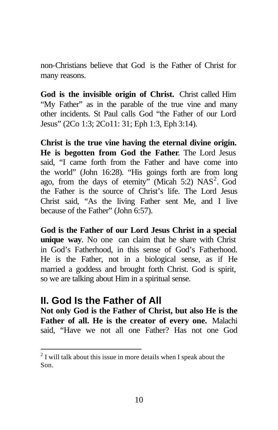non-Christians believe that God is the Father of Christ for many reasons.

**God is the invisible origin of Christ.** Christ called Him "My Father" as in the parable of the true vine and many other incidents. St Paul calls God "the Father of our Lord Jesus" (2Co 1:3; 2Co11: 31; Eph 1:3, Eph 3:14).

**Christ is the true vine having the eternal divine origin. He is begotten from God the Father**. The Lord Jesus said, "I came forth from the Father and have come into the world" (John 16:28). "His goings forth are from long ago, from the days of eternity" (Micah 5:2)  $NAS<sup>2</sup>$ . God the Father is the source of Christ's life. The Lord Jesus Christ said, "As the living Father sent Me, and I live because of the Father" (John 6:57).

**God is the Father of our Lord Jesus Christ in a special unique way**. No one can claim that he share with Christ in God's Fatherhood, in this sense of God's Fatherhood. He is the Father, not in a biological sense, as if He married a goddess and brought forth Christ. God is spirit, so we are talking about Him in a spiritual sense.

#### **II. God Is the Father of All**

 $\overline{a}$ 

**Not only God is the Father of Christ, but also He is the Father of all. He is the creator of every one.** Malachi said, "Have we not all one Father? Has not one God

 $2<sup>2</sup>$  I will talk about this issue in more details when I speak about the Son.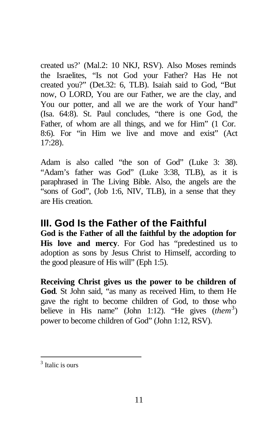created us?' (Mal.2: 10 NKJ, RSV). Also Moses reminds the Israelites, "Is not God your Father? Has He not created you?" (Det.32: 6, TLB). Isaiah said to God, "But now, O LORD, You are our Father, we are the clay, and You our potter, and all we are the work of Your hand" (Isa. 64:8). St. Paul concludes, "there is one God, the Father, of whom are all things, and we for Him" (1 Cor. 8:6). For "in Him we live and move and exist" (Act 17:28).

Adam is also called "the son of God" (Luke 3: 38). "Adam's father was God" (Luke 3:38, TLB), as it is paraphrased in The Living Bible. Also, the angels are the "sons of God", (Job 1:6, NIV, TLB), in a sense that they are His creation.

#### **III. God Is the Father of the Faithful God is the Father of all the faithful by the adoption for His love and mercy**. For God has "predestined us to adoption as sons by Jesus Christ to Himself, according to the good pleasure of His will" (Eph 1:5).

**Receiving Christ gives us the power to be children of God**. St John said, "as many as received Him, to them He gave the right to become children of God, to those who believe in His name" (John 1:12). "He gives (*them*<sup>3</sup>) power to become children of God" (John 1:12, RSV).

 $\overline{a}$ <sup>3</sup> Italic is ours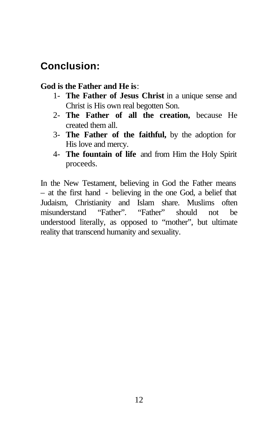#### **Conclusion:**

#### **God is the Father and He is**:

- 1- **The Father of Jesus Christ** in a unique sense and Christ is His own real begotten Son.
- 2- **The Father of all the creation,** because He created them all.
- 3- **The Father of the faithful,** by the adoption for His love and mercy.
- 4- **The fountain of life** and from Him the Holy Spirit proceeds.

In the New Testament, believing in God the Father means – at the first hand - believing in the one God, a belief that Judaism, Christianity and Islam share. Muslims often misunderstand "Father". "Father" should not be understood literally, as opposed to "mother", but ultimate reality that transcend humanity and sexuality.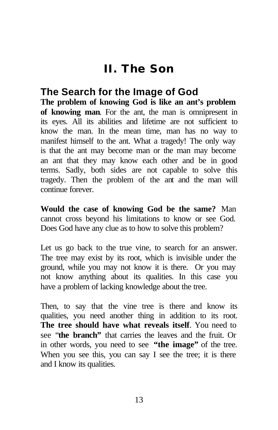## **II. The Son**

#### **The Search for the Image of God**

**The problem of knowing God is like an ant's problem of knowing man**. For the ant, the man is omnipresent in its eyes. All its abilities and lifetime are not sufficient to know the man. In the mean time, man has no way to manifest himself to the ant. What a tragedy! The only way is that the ant may become man or the man may become an ant that they may know each other and be in good terms. Sadly, both sides are not capable to solve this tragedy. Then the problem of the ant and the man will continue forever.

**Would the case of knowing God be the same?** Man cannot cross beyond his limitations to know or see God. Does God have any clue as to how to solve this problem?

Let us go back to the true vine, to search for an answer. The tree may exist by its root, which is invisible under the ground, while you may not know it is there. Or you may not know anything about its qualities. In this case you have a problem of lacking knowledge about the tree.

Then, to say that the vine tree is there and know its qualities, you need another thing in addition to its root. **The tree should have what reveals itself**. You need to see "**the branch"** that carries the leaves and the fruit. Or in other words, you need to see **"the image"** of the tree. When you see this, you can say I see the tree; it is there and I know its qualities.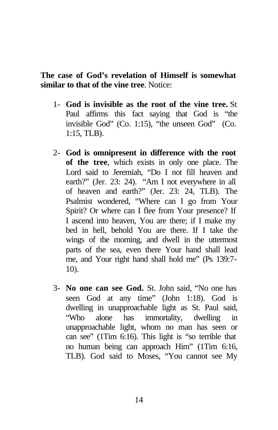**The case of God's revelation of Himself is somewhat similar to that of the vine tree**. Notice:

- 1- **God is invisible as the root of the vine tree.** St Paul affirms this fact saying that God is "the invisible God" (Co. 1:15), "the unseen God" (Co. 1:15, TLB).
- 2- **God is omnipresent in difference with the root of the tree**, which exists in only one place. The Lord said to Jeremiah, "Do I not fill heaven and earth?" (Jer. 23: 24). "Am I not everywhere in all of heaven and earth?" (Jer. 23: 24, TLB). The Psalmist wondered, "Where can I go from Your Spirit? Or where can I flee from Your presence? If I ascend into heaven, You are there; if I make my bed in hell, behold You are there. If I take the wings of the morning, and dwell in the uttermost parts of the sea, even there Your hand shall lead me, and Your right hand shall hold me" (Ps 139:7- 10).
- 3- **No one can see God.** St. John said, "No one has seen God at any time" (John 1:18). God is dwelling in unapproachable light as St. Paul said, "Who alone has immortality, dwelling in unapproachable light, whom no man has seen or can see" (1Tim 6:16). This light is "so terrible that no human being can approach Him" (1Tim 6:16, TLB). God said to Moses, "You cannot see My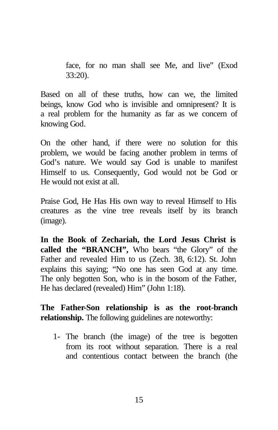face, for no man shall see Me, and live" (Exod 33:20).

Based on all of these truths, how can we, the limited beings, know God who is invisible and omnipresent? It is a real problem for the humanity as far as we concern of knowing God.

On the other hand, if there were no solution for this problem, we would be facing another problem in terms of God's nature. We would say God is unable to manifest Himself to us. Consequently, God would not be God or He would not exist at all.

Praise God, He Has His own way to reveal Himself to His creatures as the vine tree reveals itself by its branch (image).

**In the Book of Zechariah, the Lord Jesus Christ is called the "BRANCH",** Who bears "the Glory" of the Father and revealed Him to us (Zech. 38, 6:12). St. John explains this saying; "No one has seen God at any time. The only begotten Son, who is in the bosom of the Father, He has declared (revealed) Him" (John 1:18).

**The Father-Son relationship is as the root-branch relationship.** The following guidelines are noteworthy:

1- The branch (the image) of the tree is begotten from its root without separation. There is a real and contentious contact between the branch (the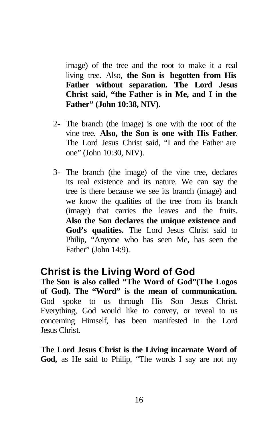image) of the tree and the root to make it a real living tree. Also, **the Son is begotten from His Father without separation. The Lord Jesus Christ said, "the Father is in Me, and I in the Father" (John 10:38, NIV).**

- 2- The branch (the image) is one with the root of the vine tree. **Also, the Son is one with His Father**. The Lord Jesus Christ said, "I and the Father are one" (John 10:30, NIV).
- 3- The branch (the image) of the vine tree, declares its real existence and its nature. We can say the tree is there because we see its branch (image) and we know the qualities of the tree from its branch (image) that carries the leaves and the fruits. **Also the Son declares the unique existence and God's qualities.** The Lord Jesus Christ said to Philip, "Anyone who has seen Me, has seen the Father" (John 14:9).

#### **Christ is the Living Word of God**

**The Son is also called "The Word of God"(The Logos of God). The "Word" is the mean of communication.** God spoke to us through His Son Jesus Christ. Everything, God would like to convey, or reveal to us concerning Himself, has been manifested in the Lord Jesus Christ.

**The Lord Jesus Christ is the Living incarnate Word of God,** as He said to Philip, "The words I say are not my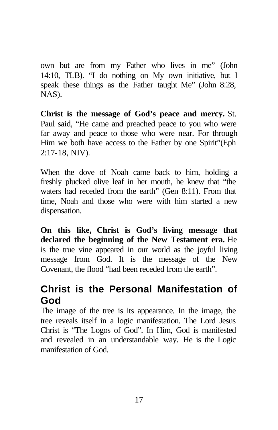own but are from my Father who lives in me" (John 14:10, TLB). "I do nothing on My own initiative, but I speak these things as the Father taught Me" (John 8:28, NAS).

**Christ is the message of God's peace and mercy.** St. Paul said, "He came and preached peace to you who were far away and peace to those who were near. For through Him we both have access to the Father by one Spirit"(Eph 2:17-18, NIV).

When the dove of Noah came back to him, holding a freshly plucked olive leaf in her mouth, he knew that "the waters had receded from the earth" (Gen 8:11). From that time, Noah and those who were with him started a new dispensation.

**On this like, Christ is God's living message that declared the beginning of the New Testament era.** He is the true vine appeared in our world as the joyful living message from God. It is the message of the New Covenant, the flood "had been receded from the earth".

#### **Christ is the Personal Manifestation of God**

The image of the tree is its appearance. In the image, the tree reveals itself in a logic manifestation. The Lord Jesus Christ is "The Logos of God". In Him, God is manifested and revealed in an understandable way. He is the Logic manifestation of God.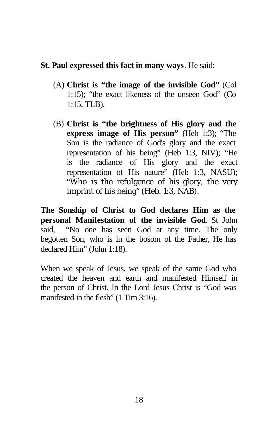#### **St. Paul expressed this fact in many ways**. He said:

- (A) **Christ is "the image of the invisible God"** (Col 1:15); "the exact likeness of the unseen God" (Co 1:15, TLB).
- (B) **Christ is "the brightness of His glory and the express image of His person"** (Heb 1:3); "The Son is the radiance of God's glory and the exact representation of his being" (Heb 1:3, NIV); "He is the radiance of His glory and the exact representation of His nature" (Heb 1:3, NASU); "Who is the refulgence of his glory, the very imprint of his being" (Heb. 1:3, NAB).

**The Sonship of Christ to God declares Him as the personal Manifestation of the invisible God**. St John said, "No one has seen God at any time. The only begotten Son, who is in the bosom of the Father, He has declared Him" (John 1:18).

When we speak of Jesus, we speak of the same God who created the heaven and earth and manifested Himself in the person of Christ. In the Lord Jesus Christ is "God was manifested in the flesh" (1 Tim 3:16).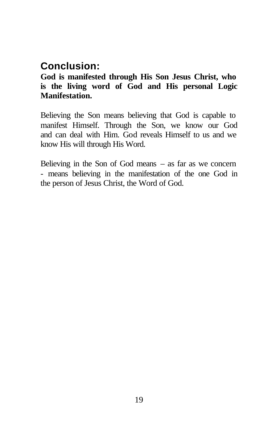#### **Conclusion:**

#### **God is manifested through His Son Jesus Christ, who is the living word of God and His personal Logic Manifestation.**

Believing the Son means believing that God is capable to manifest Himself. Through the Son, we know our God and can deal with Him. God reveals Himself to us and we know His will through His Word.

Believing in the Son of God means  $-$  as far as we concern - means believing in the manifestation of the one God in the person of Jesus Christ, the Word of God.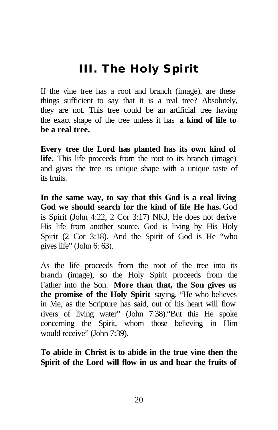## **III. The Holy Spirit**

If the vine tree has a root and branch (image), are these things sufficient to say that it is a real tree? Absolutely, they are not. This tree could be an artificial tree having the exact shape of the tree unless it has **a kind of life to be a real tree.**

**Every tree the Lord has planted has its own kind of life.** This life proceeds from the root to its branch (image) and gives the tree its unique shape with a unique taste of its fruits.

**In the same way, to say that this God is a real living God we should search for the kind of life He has.** God is Spirit (John 4:22, 2 Cor 3:17) NKJ, He does not derive His life from another source. God is living by His Holy Spirit (2 Cor 3:18). And the Spirit of God is He "who gives life" (John 6: 63).

As the life proceeds from the root of the tree into its branch (image), so the Holy Spirit proceeds from the Father into the Son. **More than that, the Son gives us the promise of the Holy Spirit** saying, "He who believes in Me, as the Scripture has said, out of his heart will flow rivers of living water" (John 7:38)."But this He spoke concerning the Spirit, whom those believing in Him would receive" (John 7:39).

**To abide in Christ is to abide in the true vine then the Spirit of the Lord will flow in us and bear the fruits of**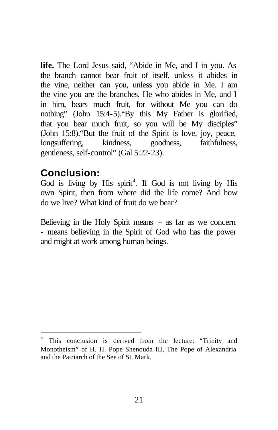**life.** The Lord Jesus said, "Abide in Me, and I in you. As the branch cannot bear fruit of itself, unless it abides in the vine, neither can you, unless you abide in Me. I am the vine you are the branches. He who abides in Me, and I in him, bears much fruit, for without Me you can do nothing" (John 15:4-5)."By this My Father is glorified, that you bear much fruit, so you will be My disciples" (John 15:8)."But the fruit of the Spirit is love, joy, peace, longsuffering, kindness, goodness, faithfulness, gentleness, self-control" (Gal 5:22-23).

#### **Conclusion:**

 $\overline{a}$ 

God is living by His spirit<sup>4</sup>. If God is not living by His own Spirit, then from where did the life come? And how do we live? What kind of fruit do we bear?

Believing in the Holy Spirit means  $-$  as far as we concern - means believing in the Spirit of God who has the power and might at work among human beings.

<sup>&</sup>lt;sup>4</sup> This conclusion is derived from the lecture: "Trinity and Monotheism" of H. H. Pope Shenouda III, The Pope of Alexandria and the Patriarch of the See of St. Mark.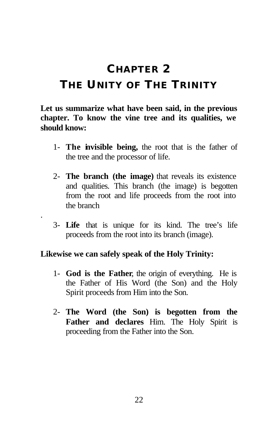## **CHAPTER 2 THE UNITY OF THE TRINITY**

**Let us summarize what have been said, in the previous chapter. To know the vine tree and its qualities, we should know:** 

- 1- **The invisible being,** the root that is the father of the tree and the processor of life.
- 2- **The branch (the image)** that reveals its existence and qualities. This branch (the image) is begotten from the root and life proceeds from the root into the branch
- 3- **Life** that is unique for its kind. The tree's life proceeds from the root into its branch (image).

#### **Likewise we can safely speak of the Holy Trinity:**

.

- 1- **God is the Father**, the origin of everything. He is the Father of His Word (the Son) and the Holy Spirit proceeds from Him into the Son.
- 2- **The Word (the Son) is begotten from the Father and declares** Him. The Holy Spirit is proceeding from the Father into the Son.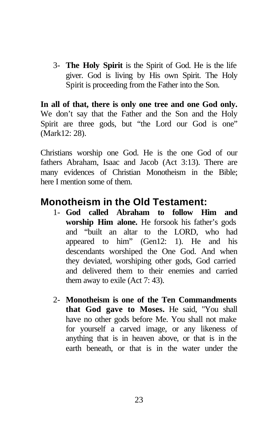3- **The Holy Spirit** is the Spirit of God. He is the life giver. God is living by His own Spirit. The Holy Spirit is proceeding from the Father into the Son.

**In all of that, there is only one tree and one God only.** We don't say that the Father and the Son and the Holy Spirit are three gods, but "the Lord our God is one" (Mark12: 28).

Christians worship one God. He is the one God of our fathers Abraham, Isaac and Jacob (Act 3:13). There are many evidences of Christian Monotheism in the Bible; here I mention some of them.

#### **Monotheism in the Old Testament:**

- 1- **God called Abraham to follow Him and worship Him alone.** He forsook his father's gods and "built an altar to the LORD, who had appeared to him" (Gen12: 1). He and his descendants worshiped the One God. And when they deviated, worshiping other gods, God carried and delivered them to their enemies and carried them away to exile (Act 7: 43).
- 2- **Monotheism is one of the Ten Commandments that God gave to Moses.** He said, "You shall have no other gods before Me. You shall not make for yourself a carved image, or any likeness of anything that is in heaven above, or that is in the earth beneath, or that is in the water under the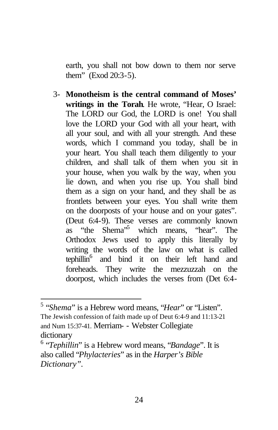earth, you shall not bow down to them nor serve them" (Exod 20:3-5).

3- **Monotheism is the central command of Moses' writings in the Torah**. He wrote, "Hear, O Israel: The LORD our God, the LORD is one! You shall love the LORD your God with all your heart, with all your soul, and with all your strength. And these words, which I command you today, shall be in your heart. You shall teach them diligently to your children, and shall talk of them when you sit in your house, when you walk by the way, when you lie down, and when you rise up. You shall bind them as a sign on your hand, and they shall be as frontlets between your eyes. You shall write them on the doorposts of your house and on your gates". (Deut 6:4-9). These verses are commonly known as "the Shema"<sup>5</sup> which means, "hear". The Orthodox Jews used to apply this literally by writing the words of the law on what is called tephillin<sup>6</sup> and bind it on their left hand and foreheads. They write the mezzuzzah on the doorpost, which includes the verses from (Det 6:4-

 $\overline{a}$ 

<sup>5</sup> "*Shema*" is a Hebrew word means, "*Hear*" or "Listen". The Jewish confession of faith made up of Deut 6:4-9 and 11:13-21 and Num 15:37-41. Merriam- - Webster Collegiate dictionary

<sup>6</sup> "*Tephillin*" is a Hebrew word means, "*Bandage*". It is also called "*Phylacteries*" as in the *Harper's Bible Dictionary".*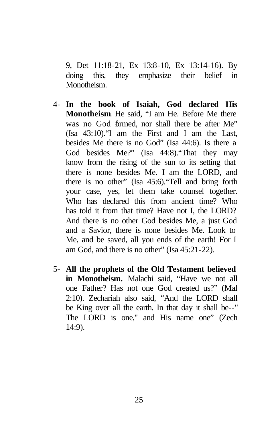9, Det 11:18-21, Ex 13:8-10, Ex 13:14-16). By doing this, they emphasize their belief in Monotheism.

- 4- **In the book of Isaiah, God declared His Monotheism**. He said, "I am He. Before Me there was no God formed, nor shall there be after Me" (Isa 43:10)."I am the First and I am the Last, besides Me there is no God" (Isa 44:6). Is there a God besides Me?" (Isa 44:8)."That they may know from the rising of the sun to its setting that there is none besides Me. I am the LORD, and there is no other" (Isa 45:6)."Tell and bring forth your case, yes, let them take counsel together. Who has declared this from ancient time? Who has told it from that time? Have not I, the LORD? And there is no other God besides Me, a just God and a Savior, there is none besides Me. Look to Me, and be saved, all you ends of the earth! For I am God, and there is no other" (Isa 45:21-22).
- 5- **All the prophets of the Old Testament believed in Monotheism.** Malachi said, "Have we not all one Father? Has not one God created us?" (Mal 2:10). Zechariah also said, "And the LORD shall be King over all the earth. In that day it shall be--" The LORD is one," and His name one" (Zech 14:9).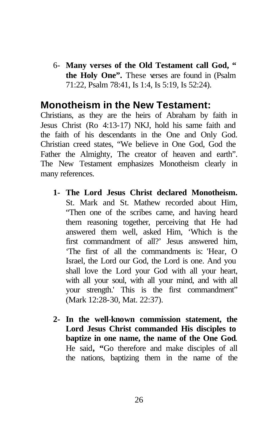6- **Many verses of the Old Testament call God, " the Holy One".** These verses are found in (Psalm 71:22, Psalm 78:41, Is 1:4, Is 5:19, Is 52:24).

#### **Monotheism in the New Testament:**

Christians, as they are the heirs of Abraham by faith in Jesus Christ (Ro 4:13-17) NKJ, hold his same faith and the faith of his descendants in the One and Only God. Christian creed states, "We believe in One God, God the Father the Almighty, The creator of heaven and earth". The New Testament emphasizes Monotheism clearly in many references.

- **1- The Lord Jesus Christ declared Monotheism.** St. Mark and St. Mathew recorded about Him, "Then one of the scribes came, and having heard them reasoning together, perceiving that He had answered them well, asked Him, 'Which is the first commandment of all?' Jesus answered him, 'The first of all the commandments is: 'Hear, O Israel, the Lord our God, the Lord is one. And you shall love the Lord your God with all your heart, with all your soul, with all your mind, and with all your strength.' This is the first commandment" (Mark 12:28-30, Mat. 22:37).
- **2- In the well-known commission statement, the Lord Jesus Christ commanded His disciples to baptize in one name, the name of the One God**. He said**, "**Go therefore and make disciples of all the nations, baptizing them in the name of the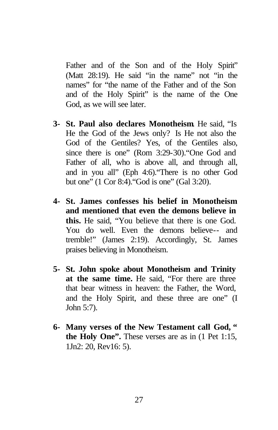Father and of the Son and of the Holy Spirit" (Matt 28:19). He said "in the name" not "in the names" for "the name of the Father and of the Son and of the Holy Spirit" is the name of the One God, as we will see later.

- **3- St. Paul also declares Monotheism**. He said, "Is He the God of the Jews only? Is He not also the God of the Gentiles? Yes, of the Gentiles also, since there is one" (Rom 3:29-30)."One God and Father of all, who is above all, and through all, and in you all" (Eph 4:6)."There is no other God but one" (1 Cor 8:4)."God is one" (Gal 3:20).
- **4- St. James confesses his belief in Monotheism and mentioned that even the demons believe in this.** He said, "You believe that there is one God. You do well. Even the demons believe-- and tremble!" (James 2:19). Accordingly, St. James praises believing in Monotheism.
- **5- St. John spoke about Monotheism and Trinity at the same time.** He said, "For there are three that bear witness in heaven: the Father, the Word, and the Holy Spirit, and these three are one" (I John 5:7).
- **6- Many verses of the New Testament call God, " the Holy One".** These verses are as in (1 Pet 1:15, 1Jn2: 20, Rev16: 5).